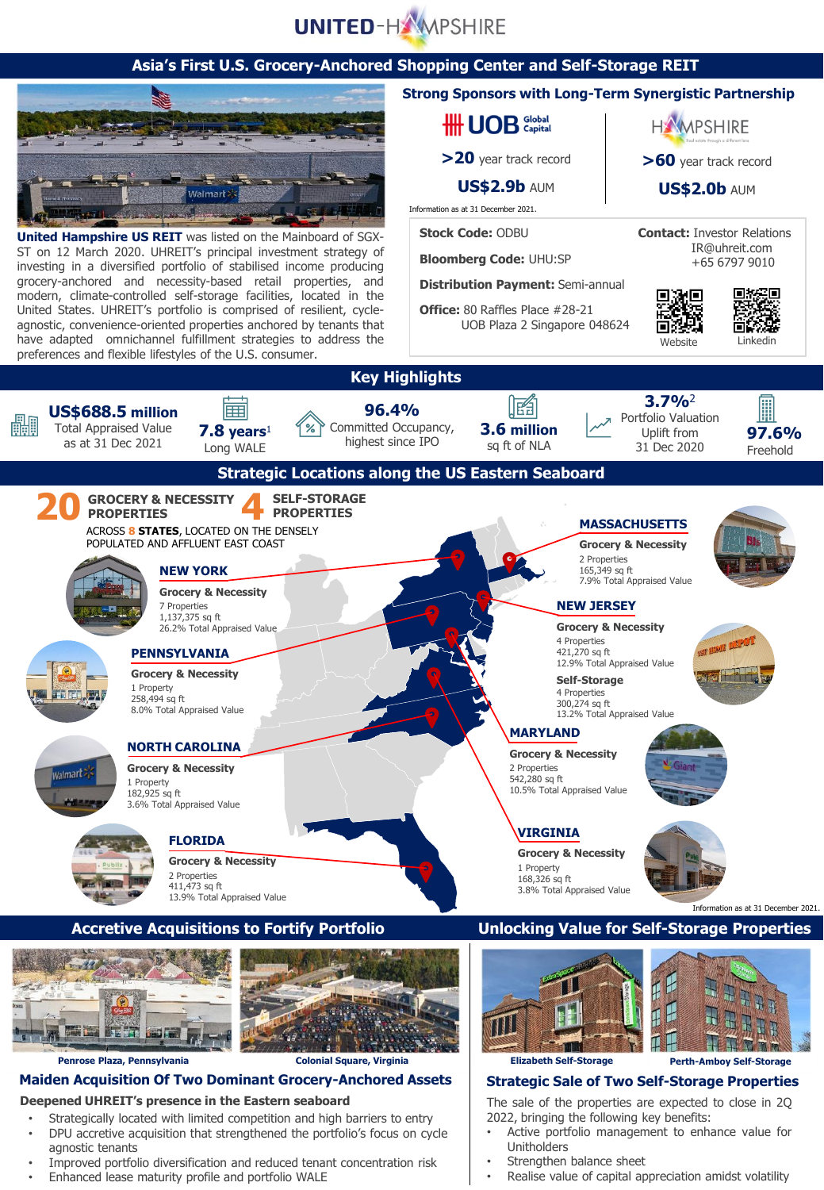# **UNITED-HAMPSHIRE**

#### **Asia's First U.S. Grocery-Anchored Shopping Center and Self-Storage REIT**



**United Hampshire US REIT** was listed on the Mainboard of SGX-ST on 12 March 2020. UHREIT's principal investment strategy of investing in a diversified portfolio of stabilised income producing grocery-anchored and necessity-based retail properties, and modern, climate-controlled self-storage facilities, located in the United States. UHREIT's portfolio is comprised of resilient, cycleagnostic, convenience-oriented properties anchored by tenants that have adapted omnichannel fulfillment strategies to address the preferences and flexible lifestyles of the U.S. consumer.

#### **Strong Sponsors with Long-Term Synergistic Partnership**

**HH UOB** Global

**>20** year track record

**US\$2.9b** AUM

Information as at 31 December 2021.

**Stock Code:** ODBU

**Bloomberg Code:** UHU:SP

**Distribution Payment:** Semi-annual

**Office:** 80 Raffles Place #28-21 UOB Plaza 2 Singapore 048624 **HAMPSHIRE** 

**>60** year track record

**US\$2.0b** AUM

**Contact:** Investor Relations IR@uhreit.com +65 6797 9010

> n 3. G ᄠ шз



Website



**Deepened UHREIT's presence in the Eastern seaboard** 

- Strategically located with limited competition and high barriers to entry
- DPU accretive acquisition that strengthened the portfolio's focus on cycle agnostic tenants
- Improved portfolio diversification and reduced tenant concentration risk
- Enhanced lease maturity profile and portfolio WALE

Strengthen balance sheet

Unitholders

Realise value of capital appreciation amidst volatility

The sale of the properties are expected to close in 2Q 2022, bringing the following key benefits: Active portfolio management to enhance value for